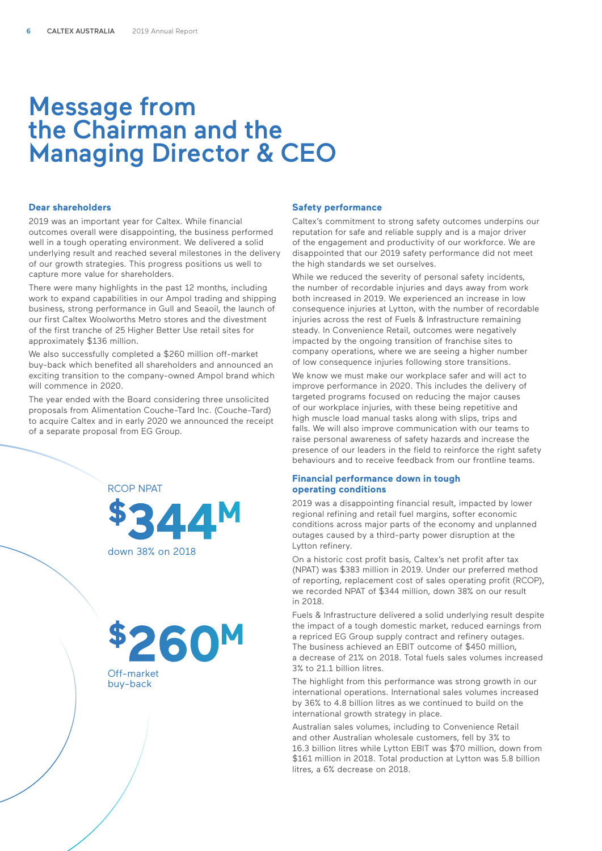# Message from the Chairman and the Managing Director & CEO

#### **Dear shareholders**

2019 was an important year for Caltex. While financial outcomes overall were disappointing, the business performed well in a tough operating environment. We delivered a solid underlying result and reached several milestones in the delivery of our growth strategies. This progress positions us well to capture more value for shareholders.

There were many highlights in the past 12 months, including work to expand capabilities in our Ampol trading and shipping business, strong performance in Gull and Seaoil, the launch of our first Caltex Woolworths Metro stores and the divestment of the first tranche of 25 Higher Better Use retail sites for approximately \$136 million.

We also successfully completed a \$260 million off-market buy-back which benefited all shareholders and announced an exciting transition to the company-owned Ampol brand which will commence in 2020.

The year ended with the Board considering three unsolicited proposals from Alimentation Couche-Tard Inc. (Couche-Tard) to acquire Caltex and in early 2020 we announced the receipt of a separate proposal from EG Group.





Off-market buy-back

## **Safety performance**

Caltex's commitment to strong safety outcomes underpins our reputation for safe and reliable supply and is a major driver of the engagement and productivity of our workforce. We are disappointed that our 2019 safety performance did not meet the high standards we set ourselves.

While we reduced the severity of personal safety incidents, the number of recordable injuries and days away from work both increased in 2019. We experienced an increase in low consequence injuries at Lytton, with the number of recordable injuries across the rest of Fuels & Infrastructure remaining steady. In Convenience Retail, outcomes were negatively impacted by the ongoing transition of franchise sites to company operations, where we are seeing a higher number of low consequence injuries following store transitions.

We know we must make our workplace safer and will act to improve performance in 2020. This includes the delivery of targeted programs focused on reducing the major causes of our workplace injuries, with these being repetitive and high muscle load manual tasks along with slips, trips and falls. We will also improve communication with our teams to raise personal awareness of safety hazards and increase the presence of our leaders in the field to reinforce the right safety behaviours and to receive feedback from our frontline teams.

## **Financial performance down in tough operating conditions**

2019 was a disappointing financial result, impacted by lower regional refining and retail fuel margins, softer economic conditions across major parts of the economy and unplanned outages caused by a third-party power disruption at the Lytton refinery.

On a historic cost profit basis, Caltex's net profit after tax (NPAT) was \$383 million in 2019. Under our preferred method of reporting, replacement cost of sales operating profit (RCOP), we recorded NPAT of \$344 million, down 38% on our result in 2018.

Fuels & Infrastructure delivered a solid underlying result despite the impact of a tough domestic market, reduced earnings from a repriced EG Group supply contract and refinery outages. The business achieved an EBIT outcome of \$450 million, a decrease of 21% on 2018. Total fuels sales volumes increased 3% to 21.1 billion litres.

The highlight from this performance was strong growth in our international operations. International sales volumes increased by 36% to 4.8 billion litres as we continued to build on the international growth strategy in place.

Australian sales volumes, including to Convenience Retail and other Australian wholesale customers, fell by 3% to 16.3 billion litres while Lytton EBIT was \$70 million, down from \$161 million in 2018. Total production at Lytton was 5.8 billion litres, a 6% decrease on 2018.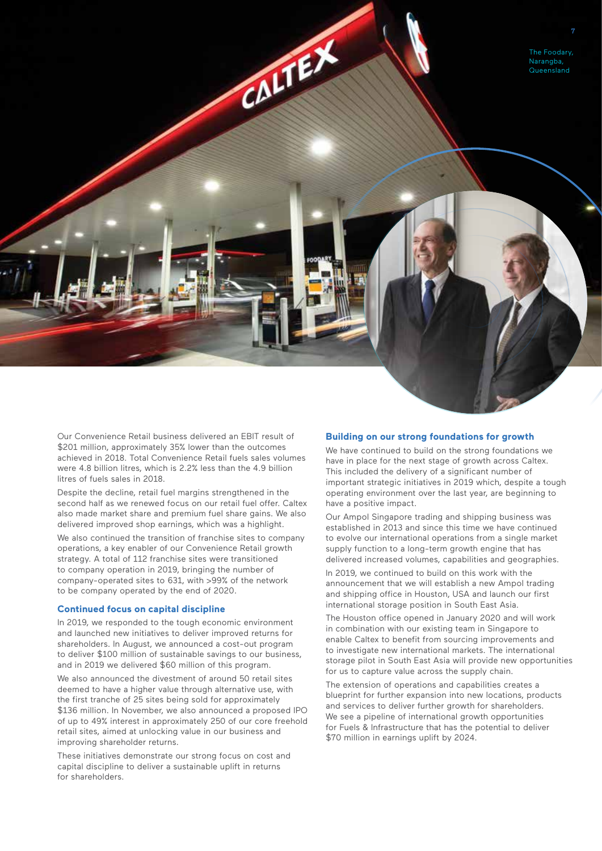

Our Convenience Retail business delivered an EBIT result of \$201 million, approximately 35% lower than the outcomes achieved in 2018. Total Convenience Retail fuels sales volumes were 4.8 billion litres, which is 2.2% less than the 4.9 billion litres of fuels sales in 2018.

Despite the decline, retail fuel margins strengthened in the second half as we renewed focus on our retail fuel offer. Caltex also made market share and premium fuel share gains. We also delivered improved shop earnings, which was a highlight.

We also continued the transition of franchise sites to company operations, a key enabler of our Convenience Retail growth strategy. A total of 112 franchise sites were transitioned to company operation in 2019, bringing the number of company-operated sites to 631, with >99% of the network to be company operated by the end of 2020.

#### **Continued focus on capital discipline**

In 2019, we responded to the tough economic environment and launched new initiatives to deliver improved returns for shareholders. In August, we announced a cost-out program to deliver \$100 million of sustainable savings to our business, and in 2019 we delivered \$60 million of this program.

We also announced the divestment of around 50 retail sites deemed to have a higher value through alternative use, with the first tranche of 25 sites being sold for approximately \$136 million. In November, we also announced a proposed IPO of up to 49% interest in approximately 250 of our core freehold retail sites, aimed at unlocking value in our business and improving shareholder returns.

These initiatives demonstrate our strong focus on cost and capital discipline to deliver a sustainable uplift in returns for shareholders.

## **Building on our strong foundations for growth**

We have continued to build on the strong foundations we have in place for the next stage of growth across Caltex. This included the delivery of a significant number of important strategic initiatives in 2019 which, despite a tough operating environment over the last year, are beginning to have a positive impact.

Our Ampol Singapore trading and shipping business was established in 2013 and since this time we have continued to evolve our international operations from a single market supply function to a long-term growth engine that has delivered increased volumes, capabilities and geographies.

In 2019, we continued to build on this work with the announcement that we will establish a new Ampol trading and shipping office in Houston, USA and launch our first international storage position in South East Asia.

The Houston office opened in January 2020 and will work in combination with our existing team in Singapore to enable Caltex to benefit from sourcing improvements and to investigate new international markets. The international storage pilot in South East Asia will provide new opportunities for us to capture value across the supply chain.

The extension of operations and capabilities creates a blueprint for further expansion into new locations, products and services to deliver further growth for shareholders. We see a pipeline of international growth opportunities for Fuels & Infrastructure that has the potential to deliver \$70 million in earnings uplift by 2024.